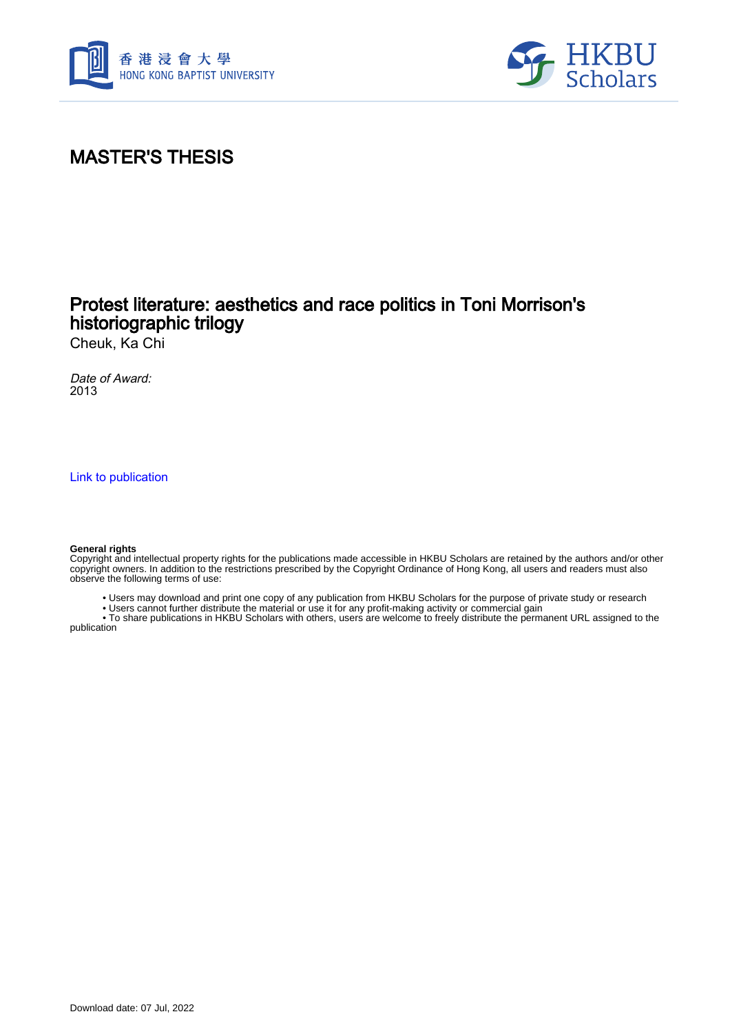



# MASTER'S THESIS

# Protest literature: aesthetics and race politics in Toni Morrison's historiographic trilogy

Cheuk, Ka Chi

Date of Award: 2013

[Link to publication](https://scholars.hkbu.edu.hk/en/studentTheses/f5ffec9d-8409-4607-80e2-753879001e5d)

#### **General rights**

Copyright and intellectual property rights for the publications made accessible in HKBU Scholars are retained by the authors and/or other copyright owners. In addition to the restrictions prescribed by the Copyright Ordinance of Hong Kong, all users and readers must also observe the following terms of use:

- Users may download and print one copy of any publication from HKBU Scholars for the purpose of private study or research
- Users cannot further distribute the material or use it for any profit-making activity or commercial gain

 • To share publications in HKBU Scholars with others, users are welcome to freely distribute the permanent URL assigned to the publication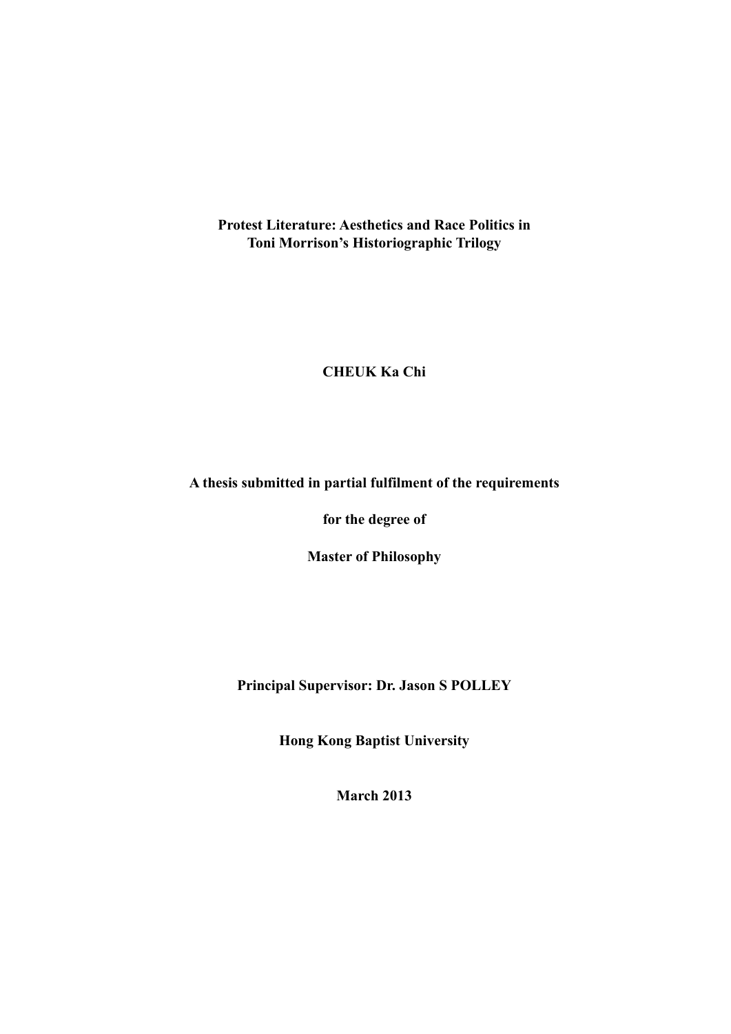**Protest Literature: Aesthetics and Race Politics in Toni Morrison's Historiographic Trilogy**

## **CHEUK Ka Chi**

## **A thesis submitted in partial fulfilment of the requirements**

**for the degree of** 

**Master of Philosophy**

**Principal Supervisor: Dr. Jason S POLLEY**

**Hong Kong Baptist University**

**March 2013**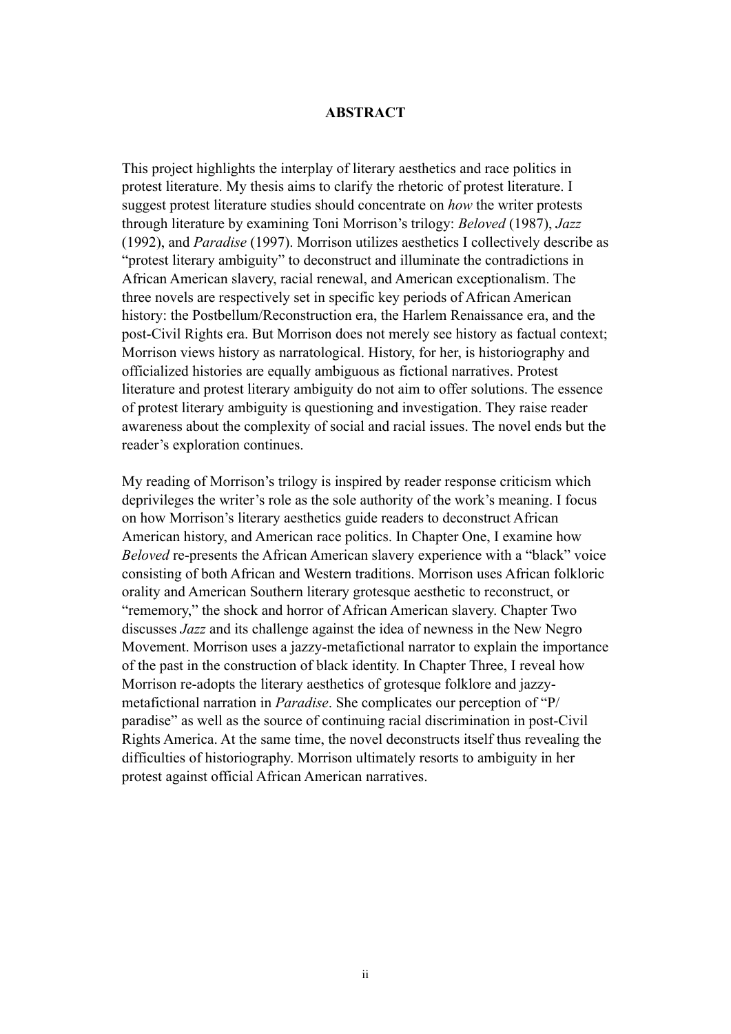#### **ABSTRACT**

This project highlights the interplay of literary aesthetics and race politics in protest literature. My thesis aims to clarify the rhetoric of protest literature. I suggest protest literature studies should concentrate on *how* the writer protests through literature by examining Toni Morrison's trilogy: *Beloved* (1987), *Jazz* (1992), and *Paradise* (1997). Morrison utilizes aesthetics I collectively describe as "protest literary ambiguity" to deconstruct and illuminate the contradictions in African American slavery, racial renewal, and American exceptionalism. The three novels are respectively set in specific key periods of African American history: the Postbellum/Reconstruction era, the Harlem Renaissance era, and the post-Civil Rights era. But Morrison does not merely see history as factual context; Morrison views history as narratological. History, for her, is historiography and officialized histories are equally ambiguous as fictional narratives. Protest literature and protest literary ambiguity do not aim to offer solutions. The essence of protest literary ambiguity is questioning and investigation. They raise reader awareness about the complexity of social and racial issues. The novel ends but the reader's exploration continues.

My reading of Morrison's trilogy is inspired by reader response criticism which deprivileges the writer's role as the sole authority of the work's meaning. I focus on how Morrison's literary aesthetics guide readers to deconstruct African American history, and American race politics. In Chapter One, I examine how *Beloved* re-presents the African American slavery experience with a "black" voice consisting of both African and Western traditions. Morrison uses African folkloric orality and American Southern literary grotesque aesthetic to reconstruct, or "rememory," the shock and horror of African American slavery. Chapter Two discusses *Jazz* and its challenge against the idea of newness in the New Negro Movement. Morrison uses a jazzy-metafictional narrator to explain the importance of the past in the construction of black identity. In Chapter Three, I reveal how Morrison re-adopts the literary aesthetics of grotesque folklore and jazzymetafictional narration in *Paradise*. She complicates our perception of "P/ paradise" as well as the source of continuing racial discrimination in post-Civil Rights America. At the same time, the novel deconstructs itself thus revealing the difficulties of historiography. Morrison ultimately resorts to ambiguity in her protest against official African American narratives.